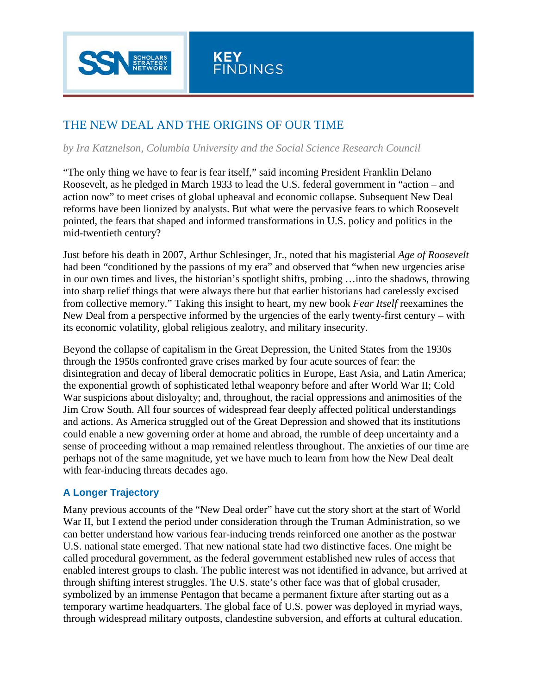

# THE NEW DEAL AND THE ORIGINS OF OUR TIME

## *by Ira Katznelson, Columbia University and the Social Science Research Council*

"The only thing we have to fear is fear itself," said incoming President Franklin Delano Roosevelt, as he pledged in March 1933 to lead the U.S. federal government in "action – and action now" to meet crises of global upheaval and economic collapse. Subsequent New Deal reforms have been lionized by analysts. But what were the pervasive fears to which Roosevelt pointed, the fears that shaped and informed transformations in U.S. policy and politics in the mid-twentieth century?

Just before his death in 2007, Arthur Schlesinger, Jr., noted that his magisterial *Age of Roosevelt* had been "conditioned by the passions of my era" and observed that "when new urgencies arise in our own times and lives, the historian's spotlight shifts, probing …into the shadows, throwing into sharp relief things that were always there but that earlier historians had carelessly excised from collective memory." Taking this insight to heart, my new book *Fear Itself* reexamines the New Deal from a perspective informed by the urgencies of the early twenty-first century – with its economic volatility, global religious zealotry, and military insecurity.

Beyond the collapse of capitalism in the Great Depression, the United States from the 1930s through the 1950s confronted grave crises marked by four acute sources of fear: the disintegration and decay of liberal democratic politics in Europe, East Asia, and Latin America; the exponential growth of sophisticated lethal weaponry before and after World War II; Cold War suspicions about disloyalty; and, throughout, the racial oppressions and animosities of the Jim Crow South. All four sources of widespread fear deeply affected political understandings and actions. As America struggled out of the Great Depression and showed that its institutions could enable a new governing order at home and abroad, the rumble of deep uncertainty and a sense of proceeding without a map remained relentless throughout. The anxieties of our time are perhaps not of the same magnitude, yet we have much to learn from how the New Deal dealt with fear-inducing threats decades ago.

# **A Longer Trajectory**

Many previous accounts of the "New Deal order" have cut the story short at the start of World War II, but I extend the period under consideration through the Truman Administration, so we can better understand how various fear-inducing trends reinforced one another as the postwar U.S. national state emerged. That new national state had two distinctive faces. One might be called procedural government, as the federal government established new rules of access that enabled interest groups to clash. The public interest was not identified in advance, but arrived at through shifting interest struggles. The U.S. state's other face was that of global crusader, symbolized by an immense Pentagon that became a permanent fixture after starting out as a temporary wartime headquarters. The global face of U.S. power was deployed in myriad ways, through widespread military outposts, clandestine subversion, and efforts at cultural education.